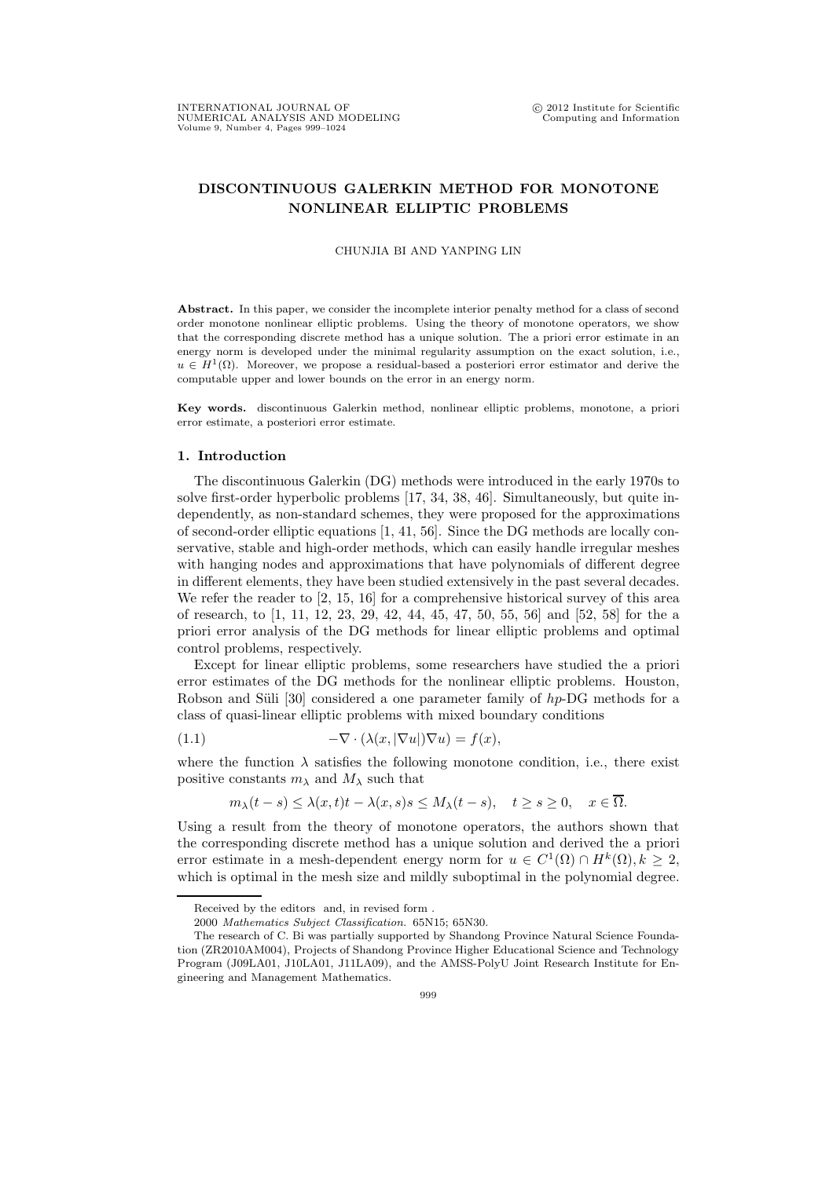## DISCONTINUOUS GALERKIN METHOD FOR MONOTONE NONLINEAR ELLIPTIC PROBLEMS

## CHUNJIA BI AND YANPING LIN

Abstract. In this paper, we consider the incomplete interior penalty method for a class of second order monotone nonlinear elliptic problems. Using the theory of monotone operators, we show that the corresponding discrete method has a unique solution. The a priori error estimate in an energy norm is developed under the minimal regularity assumption on the exact solution, i.e.,  $u \in H^1(\Omega)$ . Moreover, we propose a residual-based a posteriori error estimator and derive the computable upper and lower bounds on the error in an energy norm.

Key words. discontinuous Galerkin method, nonlinear elliptic problems, monotone, a priori error estimate, a posteriori error estimate.

## 1. Introduction

The discontinuous Galerkin (DG) methods were introduced in the early 1970s to solve first-order hyperbolic problems [17, 34, 38, 46]. Simultaneously, but quite independently, as non-standard schemes, they were proposed for the approximations of second-order elliptic equations [1, 41, 56]. Since the DG methods are locally conservative, stable and high-order methods, which can easily handle irregular meshes with hanging nodes and approximations that have polynomials of different degree in different elements, they have been studied extensively in the past several decades. We refer the reader to [2, 15, 16] for a comprehensive historical survey of this area of research, to [1, 11, 12, 23, 29, 42, 44, 45, 47, 50, 55, 56] and [52, 58] for the a priori error analysis of the DG methods for linear elliptic problems and optimal control problems, respectively.

Except for linear elliptic problems, some researchers have studied the a priori error estimates of the DG methods for the nonlinear elliptic problems. Houston, Robson and Süli [30] considered a one parameter family of  $hp$ -DG methods for a class of quasi-linear elliptic problems with mixed boundary conditions

(1.1) 
$$
-\nabla \cdot (\lambda(x,|\nabla u|)\nabla u) = f(x),
$$

where the function  $\lambda$  satisfies the following monotone condition, i.e., there exist positive constants  $m_\lambda$  and  $M_\lambda$  such that

$$
m_{\lambda}(t-s) \leq \lambda(x,t)t - \lambda(x,s)s \leq M_{\lambda}(t-s), \quad t \geq s \geq 0, \quad x \in \overline{\Omega}.
$$

Using a result from the theory of monotone operators, the authors shown that the corresponding discrete method has a unique solution and derived the a priori error estimate in a mesh-dependent energy norm for  $u \in C^1(\Omega) \cap H^k(\Omega), k \geq 2$ , which is optimal in the mesh size and mildly suboptimal in the polynomial degree.

Received by the editors and, in revised form .

<sup>2000</sup> Mathematics Subject Classification. 65N15; 65N30.

The research of C. Bi was partially supported by Shandong Province Natural Science Foundation (ZR2010AM004), Projects of Shandong Province Higher Educational Science and Technology Program (J09LA01, J10LA01, J11LA09), and the AMSS-PolyU Joint Research Institute for Engineering and Management Mathematics.